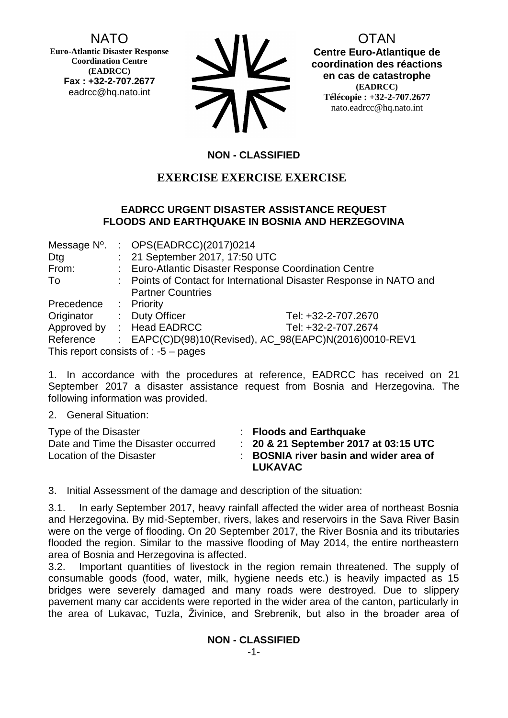NATO

**Euro-Atlantic Disaster Response Coordination Centre (EADRCC) Fax : +32-2-707.2677** eadrcc@hq.nato.int

| <b>SV</b> |
|-----------|
| 75        |

OTAN **Centre Euro-Atlantique de coordination des réactions en cas de catastrophe (EADRCC) Télécopie : +32-2-707.2677**

nato.eadrcc@hq.nato.int

# **NON - CLASSIFIED**

# **EXERCISE EXERCISE EXERCISE**

#### **EADRCC URGENT DISASTER ASSISTANCE REQUEST FLOODS AND EARTHQUAKE IN BOSNIA AND HERZEGOVINA**

| Message N°. | : OPS(EADRCC)(2017)0214                                             |                                                        |
|-------------|---------------------------------------------------------------------|--------------------------------------------------------|
| Dtg         | : 21 September 2017, 17:50 UTC                                      |                                                        |
| From:       | : Euro-Atlantic Disaster Response Coordination Centre               |                                                        |
| To          | : Points of Contact for International Disaster Response in NATO and |                                                        |
|             | <b>Partner Countries</b>                                            |                                                        |
| Precedence  | : Priority                                                          |                                                        |
| Originator  | : Duty Officer                                                      | Tel: +32-2-707.2670                                    |
|             | Approved by : Head EADRCC                                           | Tel: +32-2-707.2674                                    |
| Reference   |                                                                     | : EAPC(C)D(98)10(Revised), AC_98(EAPC)N(2016)0010-REV1 |
|             | This report consists of : $-5$ – pages                              |                                                        |

1. In accordance with the procedures at reference, EADRCC has received on 21 September 2017 a disaster assistance request from Bosnia and Herzegovina. The following information was provided.

2. General Situation:

| Type of the Disaster<br>Date and Time the Disaster occurred<br>Location of the Disaster | $\therefore$ Floods and Earthquake<br>: 20 & 21 September 2017 at 03:15 UTC<br>: BOSNIA river basin and wider area of<br><b>LUKAVAC</b> |
|-----------------------------------------------------------------------------------------|-----------------------------------------------------------------------------------------------------------------------------------------|
|                                                                                         |                                                                                                                                         |

3. Initial Assessment of the damage and description of the situation:

3.1. In early September 2017, heavy rainfall affected the wider area of northeast Bosnia and Herzegovina. By mid-September, rivers, lakes and reservoirs in the Sava River Basin were on the verge of flooding. On 20 September 2017, the River Bosnia and its tributaries flooded the region. Similar to the massive flooding of May 2014, the entire northeastern area of Bosnia and Herzegovina is affected.

3.2. Important quantities of livestock in the region remain threatened. The supply of consumable goods (food, water, milk, hygiene needs etc.) is heavily impacted as 15 bridges were severely damaged and many roads were destroyed. Due to slippery pavement many car accidents were reported in the wider area of the canton, particularly in the area of Lukavac, Tuzla, Živinice, and Srebrenik, but also in the broader area of

**NON - CLASSIFIED**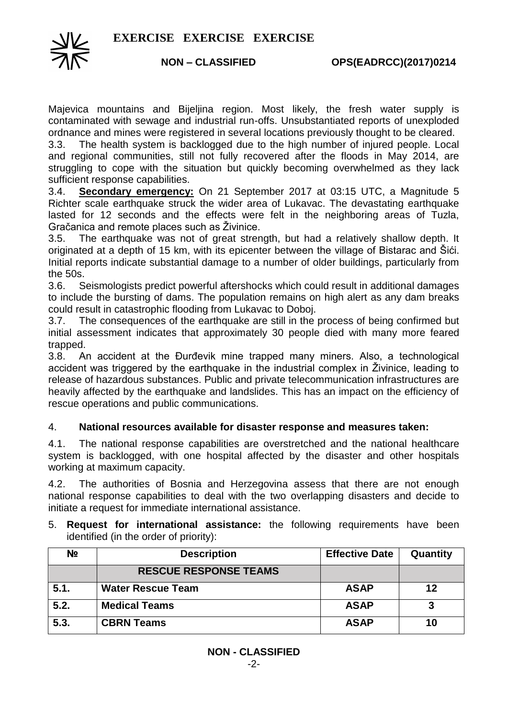

Majevica mountains and Bijeljina region. Most likely, the fresh water supply is contaminated with sewage and industrial run-offs. Unsubstantiated reports of unexploded ordnance and mines were registered in several locations previously thought to be cleared.

3.3. The health system is backlogged due to the high number of injured people. Local and regional communities, still not fully recovered after the floods in May 2014, are struggling to cope with the situation but quickly becoming overwhelmed as they lack sufficient response capabilities.

3.4. **Secondary emergency:** On 21 September 2017 at 03:15 UTC, a Magnitude 5 Richter scale earthquake struck the wider area of Lukavac. The devastating earthquake lasted for 12 seconds and the effects were felt in the neighboring areas of Tuzla, Gračanica and remote places such as Živinice.

3.5. The earthquake was not of great strength, but had a relatively shallow depth. It originated at a depth of 15 km, with its epicenter between the village of Bistarac and Šići. Initial reports indicate substantial damage to a number of older buildings, particularly from the 50s.

3.6. Seismologists predict powerful aftershocks which could result in additional damages to include the bursting of dams. The population remains on high alert as any dam breaks could result in catastrophic flooding from Lukavac to Doboj.

3.7. The consequences of the earthquake are still in the process of being confirmed but initial assessment indicates that approximately 30 people died with many more feared trapped.

3.8. An accident at the Đurđevik mine trapped many miners. Also, a technological accident was triggered by the earthquake in the industrial complex in Živinice, leading to release of hazardous substances. Public and private telecommunication infrastructures are heavily affected by the earthquake and landslides. This has an impact on the efficiency of rescue operations and public communications.

#### 4. **National resources available for disaster response and measures taken:**

4.1. The national response capabilities are overstretched and the national healthcare system is backlogged, with one hospital affected by the disaster and other hospitals working at maximum capacity.

4.2. The authorities of Bosnia and Herzegovina assess that there are not enough national response capabilities to deal with the two overlapping disasters and decide to initiate a request for immediate international assistance.

5. **Request for international assistance:** the following requirements have been identified (in the order of priority):

| N <sub>2</sub> | <b>Description</b>           | <b>Effective Date</b> | Quantity |
|----------------|------------------------------|-----------------------|----------|
|                | <b>RESCUE RESPONSE TEAMS</b> |                       |          |
| 5.1.           | <b>Water Rescue Team</b>     | <b>ASAP</b>           | 12       |
| 5.2.           | <b>Medical Teams</b>         | <b>ASAP</b>           |          |
| 5.3.           | <b>CBRN Teams</b>            | <b>ASAP</b>           | 10       |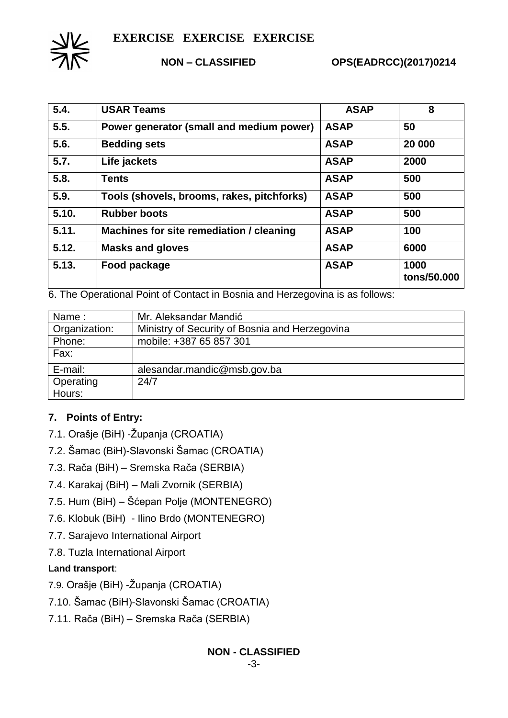

**NON – CLASSIFIED OPS(EADRCC)(2017)0214**

| 5.4.  | <b>USAR Teams</b>                          | <b>ASAP</b> | 8                   |
|-------|--------------------------------------------|-------------|---------------------|
| 5.5.  | Power generator (small and medium power)   | <b>ASAP</b> | 50                  |
| 5.6.  | <b>Bedding sets</b>                        | <b>ASAP</b> | 20 000              |
| 5.7.  | Life jackets                               | <b>ASAP</b> | 2000                |
| 5.8.  | <b>Tents</b>                               | <b>ASAP</b> | 500                 |
| 5.9.  | Tools (shovels, brooms, rakes, pitchforks) | <b>ASAP</b> | 500                 |
| 5.10. | <b>Rubber boots</b>                        | <b>ASAP</b> | 500                 |
| 5.11. | Machines for site remediation / cleaning   | <b>ASAP</b> | 100                 |
| 5.12. | <b>Masks and gloves</b>                    | <b>ASAP</b> | 6000                |
| 5.13. | Food package                               | <b>ASAP</b> | 1000<br>tons/50.000 |

6. The Operational Point of Contact in Bosnia and Herzegovina is as follows:

| Name:         | Mr. Aleksandar Mandić                          |
|---------------|------------------------------------------------|
| Organization: | Ministry of Security of Bosnia and Herzegovina |
| Phone:        | mobile: +387 65 857 301                        |
| Fax:          |                                                |
| E-mail:       | alesandar.mandic@msb.gov.ba                    |
| Operating     | 24/7                                           |
| Hours:        |                                                |

# **7. Points of Entry:**

- 7.1. Orašje (BiH) -Županja (CROATIA)
- 7.2. Šamac (BiH)-Slavonski Šamac (CROATIA)
- 7.3. Rača (BiH) Sremska Rača (SERBIA)
- 7.4. Karakaj (BiH) Mali Zvornik (SERBIA)
- 7.5. Hum (BiH) Šćepan Polje (MONTENEGRO)
- 7.6. Klobuk (BiH) Ilino Brdo (MONTENEGRO)
- 7.7. Sarajevo International Airport
- 7.8. Tuzla International Airport

# **Land transport**:

- 7.9. Orašje (BiH) -Županja (CROATIA)
- 7.10. Šamac (BiH)-Slavonski Šamac (CROATIA)
- 7.11. Rača (BiH) Sremska Rača (SERBIA)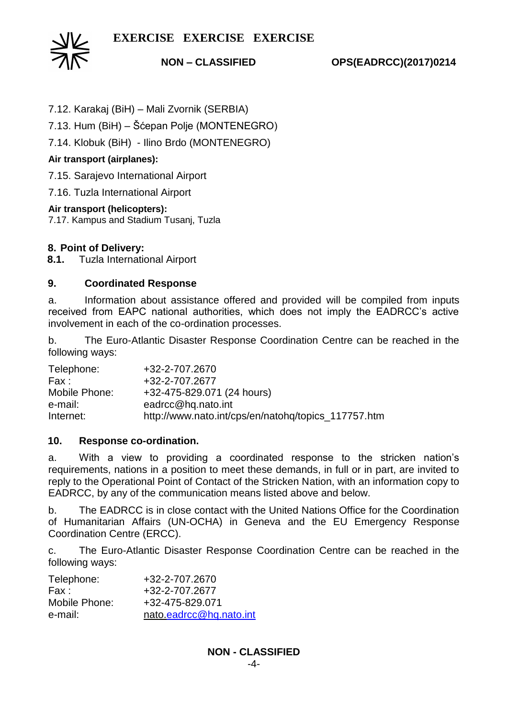

**NON – CLASSIFIED OPS(EADRCC)(2017)0214**

7.12. Karakaj (BiH) – Mali Zvornik (SERBIA)

7.13. Hum (BiH) – Šćepan Polje (MONTENEGRO)

7.14. Klobuk (BiH) - Ilino Brdo (MONTENEGRO)

## **Air transport (airplanes):**

7.15. Sarajevo International Airport

7.16. Tuzla International Airport

### **Air transport (helicopters):**

7.17. Kampus and Stadium Tusanj, Tuzla

### **8. Point of Delivery:**

**8.1.** Tuzla International Airport

### **9. Coordinated Response**

a. Information about assistance offered and provided will be compiled from inputs received from EAPC national authorities, which does not imply the EADRCC's active involvement in each of the co-ordination processes.

b. The Euro-Atlantic Disaster Response Coordination Centre can be reached in the following ways:

| Telephone:    | +32-2-707.2670                                      |
|---------------|-----------------------------------------------------|
| Fax :         | +32-2-707.2677                                      |
| Mobile Phone: | +32-475-829.071 (24 hours)                          |
| e-mail:       | eadrcc@hq.nato.int                                  |
| Internet:     | http://www.nato.int/cps/en/natohq/topics_117757.htm |

#### **10. Response co-ordination.**

a. With a view to providing a coordinated response to the stricken nation's requirements, nations in a position to meet these demands, in full or in part, are invited to reply to the Operational Point of Contact of the Stricken Nation, with an information copy to EADRCC, by any of the communication means listed above and below.

b. The EADRCC is in close contact with the United Nations Office for the Coordination of Humanitarian Affairs (UN-OCHA) in Geneva and the EU Emergency Response Coordination Centre (ERCC).

c. The Euro-Atlantic Disaster Response Coordination Centre can be reached in the following ways:

| Telephone:    | +32-2-707.2670          |
|---------------|-------------------------|
| Fax :         | +32-2-707.2677          |
| Mobile Phone: | +32-475-829.071         |
| e-mail:       | nato.eadrcc@hq.nato.int |